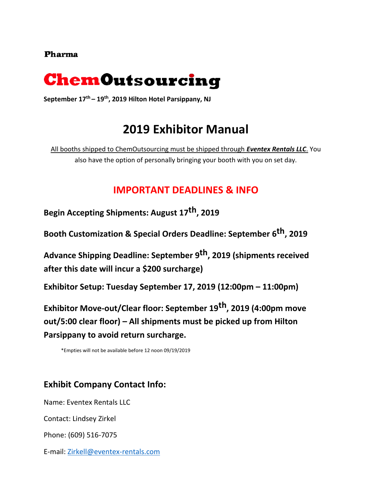### **Pharma**



**September 17th – 19th, 2019 Hilton Hotel Parsippany, NJ** 

# **2019 Exhibitor Manual**

All booths shipped to ChemOutsourcing must be shipped through *Eventex Rentals LLC*. You also have the option of personally bringing your booth with you on set day.

## **IMPORTANT DEADLINES & INFO**

**Begin Accepting Shipments: August 17 th, 2019**

**Booth Customization & Special Orders Deadline: September 6 th, 2019**

**Advance Shipping Deadline: September 9 th, 2019 (shipments received after this date will incur a \$200 surcharge)**

**Exhibitor Setup: Tuesday September 17, 2019 (12:00pm – 11:00pm)**

**Exhibitor Move-out/Clear floor: September 19th, 2019 (4:00pm move out/5:00 clear floor) – All shipments must be picked up from Hilton Parsippany to avoid return surcharge.** 

\*Empties will not be available before 12 noon 09/19/2019

### **Exhibit Company Contact Info:**

Name: Eventex Rentals LLC

Contact: Lindsey Zirkel

Phone: (609) 516-7075

E-mail: [Zirkell@eventex-rentals.com](mailto:Zirkell@eventex-rentals.com)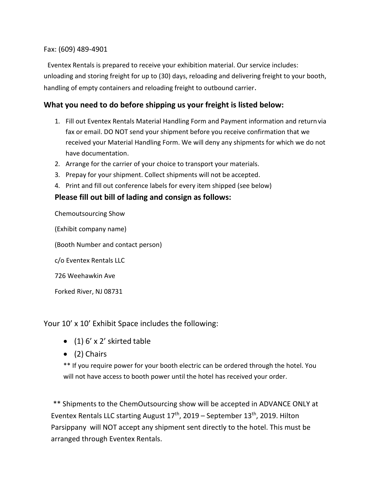Fax: (609) 489-4901

Eventex Rentals is prepared to receive your exhibition material. Our service includes: unloading and storing freight for up to (30) days, reloading and delivering freight to your booth, handling of empty containers and reloading freight to outbound carrier.

#### **What you need to do before shipping us your freight is listed below:**

- 1. Fill out Eventex Rentals Material Handling Form and Payment information and returnvia fax or email. DO NOT send your shipment before you receive confirmation that we received your Material Handling Form. We will deny any shipments for which we do not have documentation.
- 2. Arrange for the carrier of your choice to transport your materials.
- 3. Prepay for your shipment. Collect shipments will not be accepted.
- 4. Print and fill out conference labels for every item shipped (see below)

#### **Please fill out bill of lading and consign as follows:**

Chemoutsourcing Show

(Exhibit company name)

(Booth Number and contact person)

c/o Eventex Rentals LLC

726 Weehawkin Ave

Forked River, NJ 08731

Your 10' x 10' Exhibit Space includes the following:

- $\bullet$  (1) 6' x 2' skirted table
- (2) Chairs

\*\* If you require power for your booth electric can be ordered through the hotel. You will not have access to booth power until the hotel has received your order.

\*\* Shipments to the ChemOutsourcing show will be accepted in ADVANCE ONLY at Eventex Rentals LLC starting August  $17<sup>th</sup>$ , 2019 – September 13<sup>th</sup>, 2019. Hilton Parsippany will NOT accept any shipment sent directly to the hotel. This must be arranged through Eventex Rentals.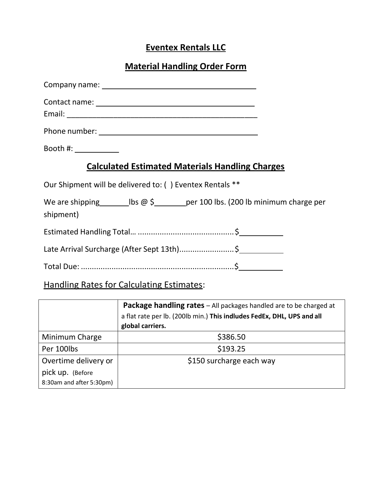# **Eventex Rentals LLC**

## **Material Handling Order Form**

| Booth #: ___________                                                                         |  |
|----------------------------------------------------------------------------------------------|--|
| <b>Calculated Estimated Materials Handling Charges</b>                                       |  |
| Our Shipment will be delivered to: () Eventex Rentals **                                     |  |
| We are shipping $\qquad$ lbs @ \$ _____ per 100 lbs. (200 lb minimum charge per<br>shipment) |  |
|                                                                                              |  |
| Late Arrival Surcharge (After Sept 13th)\$                                                   |  |
|                                                                                              |  |

# Handling Rates for Calculating Estimates:

|                          | <b>Package handling rates</b> - All packages handled are to be charged at<br>a flat rate per lb. (200lb min.) This indludes FedEx, DHL, UPS and all<br>global carriers. |
|--------------------------|-------------------------------------------------------------------------------------------------------------------------------------------------------------------------|
| Minimum Charge           | \$386.50                                                                                                                                                                |
| Per 100lbs               | \$193.25                                                                                                                                                                |
| Overtime delivery or     | \$150 surcharge each way                                                                                                                                                |
| pick up. (Before         |                                                                                                                                                                         |
| 8:30am and after 5:30pm) |                                                                                                                                                                         |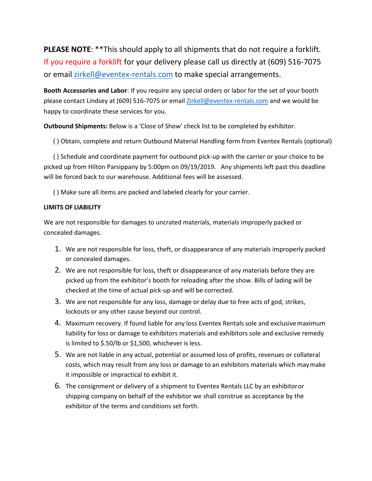**PLEASE NOTE**: \*\*This should apply to all shipments that do not require a forklift. If you require a forklift for your delivery please call us directly at (609) 516-7075 or email [zirkell@eventex-rentals.com](mailto:zirkell@eventex-rentals.com) to make special arrangements.

**Booth Accessories and Labor**: If you require any special orders or labor for the set of your booth please contact Lindsey at (609) 516-7075 or email [Zirkell@eventex-rentals.com](mailto:Zirkell@eventex-rentals.com) and we would be happy to coordinate these services for you.

**Outbound Shipments:** Below is a 'Close of Show' check list to be completed by exhibitor.

( ) Obtain, complete and return Outbound Material Handling form from Eventex Rentals (optional)

( ) Schedule and coordinate payment for outbound pick-up with the carrier or your choice to be picked up from Hilton Parsippany by 5:00pm on 09/19/2019. Any shipments left past this deadline will be forced back to our warehouse. Additional fees will be assessed.

( ) Make sure all items are packed and labeled clearly for your carrier.

#### **LIMITS OF LIABILITY**

We are not responsible for damages to uncrated materials, materials improperly packed or concealed damages.

- 1. We are not responsible for loss, theft, or disappearance of any materials improperly packed or concealed damages.
- 2. We are not responsible for loss, theft or disappearance of any materials before they are picked up from the exhibitor's booth for reloading after the show. Bills of lading will be checked at the time of actual pick-up and will be corrected.
- 3. We are not responsible for any loss, damage or delay due to free acts of god, strikes, lockouts or any other cause beyond our control.
- 4. Maximum recovery. If found liable for any loss Eventex Rentals sole and exclusivemaximum liability for loss or damage to exhibitors materials and exhibitors sole and exclusive remedy is limited to \$.50/lb or \$1,500, whichever is less.
- 5. We are not liable in any actual, potential or assumed loss of profits, revenues or collateral costs, which may result from any loss or damage to an exhibitors materials which maymake it impossible or impractical to exhibit it.
- 6. The consignment or delivery of a shipment to Eventex Rentals LLC by an exhibitoror shipping company on behalf of the exhibitor we shall construe as acceptance by the exhibitor of the terms and conditions set forth.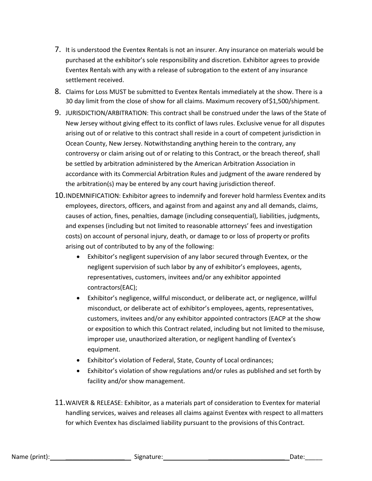- 7. It is understood the Eventex Rentals is not an insurer. Any insurance on materials would be purchased at the exhibitor's sole responsibility and discretion. Exhibitor agrees to provide Eventex Rentals with any with a release of subrogation to the extent of any insurance settlement received.
- 8. Claims for Loss MUST be submitted to Eventex Rentals immediately at the show. There is a 30 day limit from the close of show for all claims. Maximum recovery of\$1,500/shipment.
- 9. JURISDICTION/ARBITRATION: This contract shall be construed under the laws of the State of New Jersey without giving effect to its conflict of laws rules. Exclusive venue for all disputes arising out of or relative to this contract shall reside in a court of competent jurisdiction in Ocean County, New Jersey. Notwithstanding anything herein to the contrary, any controversy or claim arising out of or relating to this Contract, or the breach thereof, shall be settled by arbitration administered by the American Arbitration Association in accordance with its Commercial Arbitration Rules and judgment of the aware rendered by the arbitration(s) may be entered by any court having jurisdiction thereof.
- 10.INDEMNIFICATION: Exhibitor agrees to indemnify and forever hold harmless Eventex andits employees, directors, officers, and against from and against any and all demands, claims, causes of action, fines, penalties, damage (including consequential), liabilities, judgments, and expenses (including but not limited to reasonable attorneys' fees and investigation costs) on account of personal injury, death, or damage to or loss of property or profits arising out of contributed to by any of the following:
	- Exhibitor's negligent supervision of any labor secured through Eventex, or the negligent supervision of such labor by any of exhibitor's employees, agents, representatives, customers, invitees and/or any exhibitor appointed contractors(EAC);
	- Exhibitor's negligence, willful misconduct, or deliberate act, or negligence, willful misconduct, or deliberate act of exhibitor's employees, agents, representatives, customers, invitees and/or any exhibitor appointed contractors (EACP at the show or exposition to which this Contract related, including but not limited to themisuse, improper use, unauthorized alteration, or negligent handling of Eventex's equipment.
	- Exhibitor's violation of Federal, State, County of Local ordinances;
	- Exhibitor's violation of show regulations and/or rules as published and set forth by facility and/or show management.
- 11.WAIVER & RELEASE: Exhibitor, as a materials part of consideration to Eventex for material handling services, waives and releases all claims against Eventex with respect to allmatters for which Eventex has disclaimed liability pursuant to the provisions of this Contract.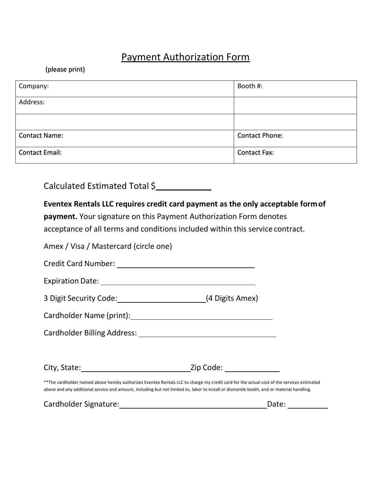# Payment Authorization Form

(please print)

| Company:             | Booth #:       |
|----------------------|----------------|
| Address:             |                |
|                      |                |
| <b>Contact Name:</b> | Contact Phone: |
| Contact Email:       | Contact Fax:   |

Calculated Estimated Total \$

| Eventex Rentals LLC requires credit card payment as the only acceptable form of                                                                                                                                                                                                         |                       |
|-----------------------------------------------------------------------------------------------------------------------------------------------------------------------------------------------------------------------------------------------------------------------------------------|-----------------------|
| <b>payment.</b> Your signature on this Payment Authorization Form denotes                                                                                                                                                                                                               |                       |
| acceptance of all terms and conditions included within this service contract.                                                                                                                                                                                                           |                       |
| Amex / Visa / Mastercard (circle one)                                                                                                                                                                                                                                                   |                       |
| Credit Card Number: Management Credit Card Number:                                                                                                                                                                                                                                      |                       |
|                                                                                                                                                                                                                                                                                         |                       |
| 3 Digit Security Code: (4 Digits Amex)                                                                                                                                                                                                                                                  |                       |
|                                                                                                                                                                                                                                                                                         |                       |
|                                                                                                                                                                                                                                                                                         |                       |
|                                                                                                                                                                                                                                                                                         |                       |
|                                                                                                                                                                                                                                                                                         |                       |
| ** The cardholder named above hereby authorizes Eventex Rentals LLC to charge my credit card for the actual cost of the services estimated<br>above and any additional service and amount, including but not limited to, labor to install or dismantle booth, and or material handling. |                       |
|                                                                                                                                                                                                                                                                                         | Date: $\qquad \qquad$ |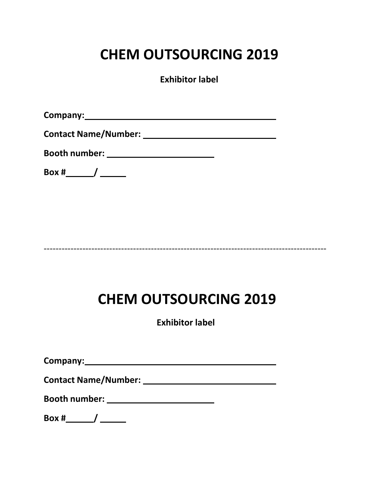# **CHEM OUTSOURCING 2019**

**Exhibitor label**

**Company:**

**Contact Name/Number:** 

**Booth number:** 

**Box # /** 

-----------------------------------------------------------------------------------------------

# **CHEM OUTSOURCING 2019**

**Exhibitor label**

**Company:**

**Contact Name/Number:** 

**Booth number:** 

**Box # /**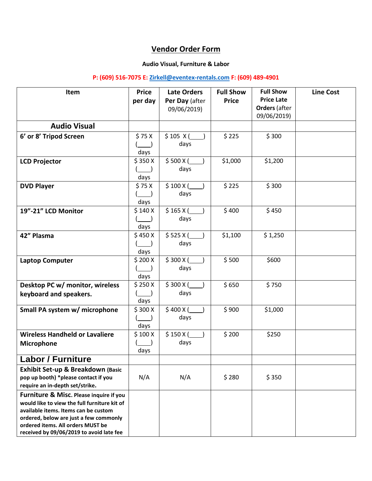### **Vendor Order Form**

#### **Audio Visual, Furniture & Labor**

#### **P: (609) 516-7075 E: [Zirkell@eventex-rentals.com](mailto:Zirkell@eventex-rentals.com) F: (609) 489-4901**

| Item                                         | <b>Price</b>    | <b>Late Orders</b> | <b>Full Show</b> | <b>Full Show</b>     | <b>Line Cost</b> |
|----------------------------------------------|-----------------|--------------------|------------------|----------------------|------------------|
|                                              | per day         | Per Day (after     | <b>Price</b>     | <b>Price Late</b>    |                  |
|                                              |                 | 09/06/2019)        |                  | <b>Orders (after</b> |                  |
|                                              |                 |                    |                  | 09/06/2019)          |                  |
| <b>Audio Visual</b>                          |                 |                    |                  |                      |                  |
| 6' or 8' Tripod Screen                       | \$75X           | \$105 X(           | \$225            | \$300                |                  |
|                                              |                 | days               |                  |                      |                  |
|                                              | days            |                    |                  |                      |                  |
| <b>LCD Projector</b>                         | \$350X          | \$500 X(           | \$1,000          | \$1,200              |                  |
|                                              |                 | days               |                  |                      |                  |
|                                              | days            |                    |                  |                      |                  |
| <b>DVD Player</b>                            | \$75X           | \$100 X(           | \$225            | \$300                |                  |
|                                              |                 | days               |                  |                      |                  |
|                                              | days            |                    |                  |                      |                  |
| 19"-21" LCD Monitor                          | \$140 X         | \$165 X(           | \$400            | \$450                |                  |
|                                              |                 | days               |                  |                      |                  |
| 42" Plasma                                   | days<br>\$450 X | \$525 X(           | \$1,100          | \$1,250              |                  |
|                                              |                 | days               |                  |                      |                  |
|                                              | days            |                    |                  |                      |                  |
| <b>Laptop Computer</b>                       | \$200 X         | \$300 X(           | \$500            | \$600                |                  |
|                                              |                 | days               |                  |                      |                  |
|                                              | days            |                    |                  |                      |                  |
| Desktop PC w/ monitor, wireless              | \$250X          | \$300 X(           | \$650            | \$750                |                  |
| keyboard and speakers.                       |                 | days               |                  |                      |                  |
|                                              | days            |                    |                  |                      |                  |
| Small PA system w/ microphone                | \$300 X         | \$400 X(           | \$900            | \$1,000              |                  |
|                                              |                 | days               |                  |                      |                  |
|                                              | days            |                    |                  |                      |                  |
| <b>Wireless Handheld or Lavaliere</b>        | \$100 X         | \$150 X(           | \$200            | \$250                |                  |
| Microphone                                   |                 | days               |                  |                      |                  |
|                                              | days            |                    |                  |                      |                  |
| <b>Labor / Furniture</b>                     |                 |                    |                  |                      |                  |
| Exhibit Set-up & Breakdown (Basic            |                 |                    |                  |                      |                  |
| pop up booth) *please contact if you         | N/A             | N/A                | \$280            | \$350                |                  |
| require an in-depth set/strike.              |                 |                    |                  |                      |                  |
| Furniture & Misc. Please inquire if you      |                 |                    |                  |                      |                  |
| would like to view the full furniture kit of |                 |                    |                  |                      |                  |
| available items. Items can be custom         |                 |                    |                  |                      |                  |
| ordered, below are just a few commonly       |                 |                    |                  |                      |                  |
| ordered items. All orders MUST be            |                 |                    |                  |                      |                  |